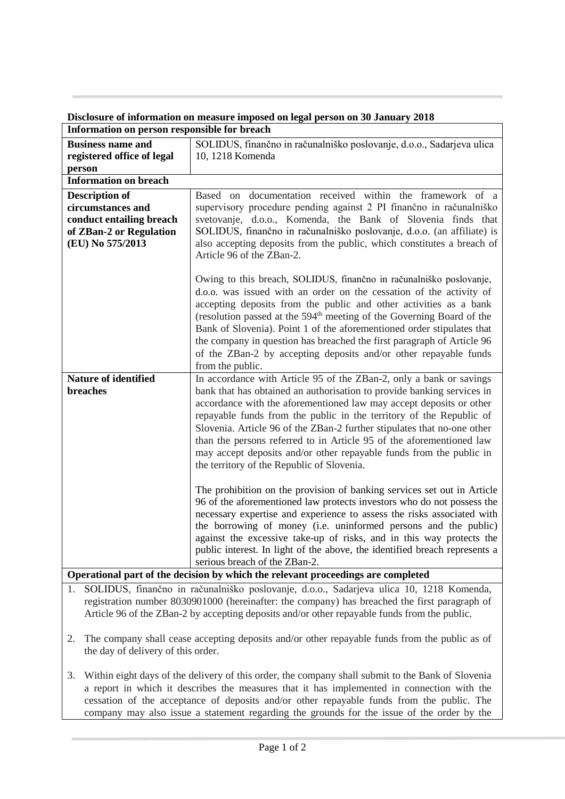| Information on person responsible for breach                                     |                                                                                                                                                                                                                                                                                                                                                                                                                                                                                                                                                  |
|----------------------------------------------------------------------------------|--------------------------------------------------------------------------------------------------------------------------------------------------------------------------------------------------------------------------------------------------------------------------------------------------------------------------------------------------------------------------------------------------------------------------------------------------------------------------------------------------------------------------------------------------|
| <b>Business name and</b><br>registered office of legal                           | SOLIDUS, finančno in računalniško poslovanje, d.o.o., Sadarjeva ulica<br>10, 1218 Komenda                                                                                                                                                                                                                                                                                                                                                                                                                                                        |
| person                                                                           |                                                                                                                                                                                                                                                                                                                                                                                                                                                                                                                                                  |
| <b>Information on breach</b>                                                     |                                                                                                                                                                                                                                                                                                                                                                                                                                                                                                                                                  |
| <b>Description of</b>                                                            | Based on documentation received within the framework of a                                                                                                                                                                                                                                                                                                                                                                                                                                                                                        |
| circumstances and                                                                | supervisory procedure pending against 2 PI finančno in računalniško                                                                                                                                                                                                                                                                                                                                                                                                                                                                              |
| conduct entailing breach                                                         | svetovanje, d.o.o., Komenda, the Bank of Slovenia finds that                                                                                                                                                                                                                                                                                                                                                                                                                                                                                     |
| of ZBan-2 or Regulation                                                          | SOLIDUS, finančno in računalniško poslovanje, d.o.o. (an affiliate) is                                                                                                                                                                                                                                                                                                                                                                                                                                                                           |
| (EU) No 575/2013                                                                 | also accepting deposits from the public, which constitutes a breach of<br>Article 96 of the ZBan-2.                                                                                                                                                                                                                                                                                                                                                                                                                                              |
|                                                                                  | Owing to this breach, SOLIDUS, finančno in računalniško poslovanje,<br>d.o.o. was issued with an order on the cessation of the activity of<br>accepting deposits from the public and other activities as a bank<br>(resolution passed at the 594 <sup>th</sup> meeting of the Governing Board of the<br>Bank of Slovenia). Point 1 of the aforementioned order stipulates that<br>the company in question has breached the first paragraph of Article 96<br>of the ZBan-2 by accepting deposits and/or other repayable funds<br>from the public. |
| <b>Nature of identified</b>                                                      | In accordance with Article 95 of the ZBan-2, only a bank or savings                                                                                                                                                                                                                                                                                                                                                                                                                                                                              |
| <b>breaches</b>                                                                  | bank that has obtained an authorisation to provide banking services in<br>accordance with the aforementioned law may accept deposits or other<br>repayable funds from the public in the territory of the Republic of<br>Slovenia. Article 96 of the ZBan-2 further stipulates that no-one other<br>than the persons referred to in Article 95 of the aforementioned law<br>may accept deposits and/or other repayable funds from the public in<br>the territory of the Republic of Slovenia.                                                     |
|                                                                                  | The prohibition on the provision of banking services set out in Article<br>96 of the aforementioned law protects investors who do not possess the<br>necessary expertise and experience to assess the risks associated with<br>the borrowing of money (i.e. uninformed persons and the public)<br>against the excessive take-up of risks, and in this way protects the<br>public interest. In light of the above, the identified breach represents a<br>serious breach of the ZBan-2.                                                            |
| Operational part of the decision by which the relevant proceedings are completed |                                                                                                                                                                                                                                                                                                                                                                                                                                                                                                                                                  |

## **Disclosure of information on measure imposed on legal person on 30 January 2018**

1. SOLIDUS, finančno in računalniško poslovanje, d.o.o., Sadarjeva ulica 10, 1218 Komenda, registration number 8030901000 (hereinafter: the company) has breached the first paragraph of Article 96 of the ZBan-2 by accepting deposits and/or other repayable funds from the public.

2. The company shall cease accepting deposits and/or other repayable funds from the public as of the day of delivery of this order.

3. Within eight days of the delivery of this order, the company shall submit to the Bank of Slovenia a report in which it describes the measures that it has implemented in connection with the cessation of the acceptance of deposits and/or other repayable funds from the public. The company may also issue a statement regarding the grounds for the issue of the order by the